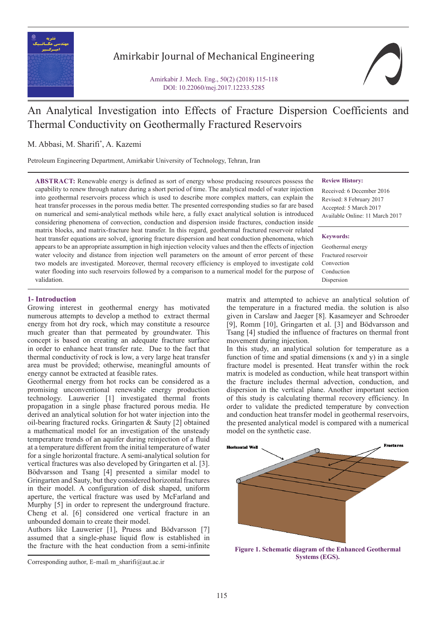

# Amirkabir Journal of Mechanical Engineering

Amirkabir J. Mech. Eng., 50(2) (2018) 115-118 DOI: 10.22060/mej.2017.12233.5285



# An Analytical Investigation into Effects of Fracture Dispersion Coefficients and Thermal Conductivity on Geothermally Fractured Reservoirs

# M. Abbasi, M. Sharifi\* , A. Kazemi

Petroleum Engineering Department, Amirkabir University of Technology, Tehran, Iran

**ABSTRACT:** Renewable energy is defined as sort of energy whose producing resources possess the capability to renew through nature during a short period of time. The analytical model of water injection into geothermal reservoirs process which is used to describe more complex matters, can explain the heat transfer processes in the porous media better. The presented corresponding studies so far are based on numerical and semi-analytical methods while here, a fully exact analytical solution is introduced considering phenomena of convection, conduction and dispersion inside fractures, conduction inside matrix blocks, and matrix-fracture heat transfer. In this regard, geothermal fractured reservoir related heat transfer equations are solved, ignoring fracture dispersion and heat conduction phenomena, which appears to be an appropriate assumption in high injection velocity values and then the effects of injection water velocity and distance from injection well parameters on the amount of error percent of these two models are investigated. Moreover, thermal recovery efficiency is employed to investigate cold water flooding into such reservoirs followed by a comparison to a numerical model for the purpose of validation.

**Review History:**

Received: 6 December 2016 Revised: 8 February 2017 Accepted: 5 March 2017 Available Online: 11 March 2017

#### **Keywords:**

Geothermal energy Fractured reservoir Convection Conduction Dispersion

## **1- Introduction**

Growing interest in geothermal energy has motivated numerous attempts to develop a method to extract thermal energy from hot dry rock, which may constitute a resource much greater than that permeated by groundwater. This concept is based on creating an adequate fracture surface in order to enhance heat transfer rate. Due to the fact that thermal conductivity of rock is low, a very large heat transfer area must be provided; otherwise, meaningful amounts of energy cannot be extracted at feasible rates.

Geothermal energy from hot rocks can be considered as a promising unconventional renewable energy production technology. Lauwerier [1] investigated thermal fronts propagation in a single phase fractured porous media. He derived an analytical solution for hot water injection into the oil-bearing fractured rocks. Gringarten & Sauty [2] obtained a mathematical model for an investigation of the unsteady temperature trends of an aquifer during reinjection of a fluid at a temperature different from the initial temperature of water for a single horizontal fracture. A semi-analytical solution for vertical fractures was also developed by Gringarten et al. [3]. Bödvarsson and Tsang [4] presented a similar model to Gringarten and Sauty, but they considered horizontal fractures in their model. A configuration of disk shaped, uniform aperture, the vertical fracture was used by McFarland and Murphy [5] in order to represent the underground fracture. Cheng et al. [6] considered one vertical fracture in an unbounded domain to create their model.

Authors like Lauwerier [1], Pruess and Bödvarsson [7] assumed that a single-phase liquid flow is established in the fracture with the heat conduction from a semi-infinite

matrix and attempted to achieve an analytical solution of the temperature in a fractured media. the solution is also given in Carslaw and Jaeger [8]. Kasameyer and Schroeder [9], Romm [10], Gringarten et al. [3] and Bödvarsson and Tsang [4] studied the influence of fractures on thermal front movement during injection.

In this study, an analytical solution for temperature as a function of time and spatial dimensions  $(x \text{ and } y)$  in a single fracture model is presented. Heat transfer within the rock matrix is modeled as conduction, while heat transport within the fracture includes thermal advection, conduction, and dispersion in the vertical plane. Another important section of this study is calculating thermal recovery efficiency. In order to validate the predicted temperature by convection and conduction heat transfer model in geothermal reservoirs, the presented analytical model is compared with a numerical model on the synthetic case.



**Figure 1. Schematic diagram of the Enhanced Geothermal Systems (EGS).**

Corresponding author, E-mail: m\_sharifi@aut.ac.ir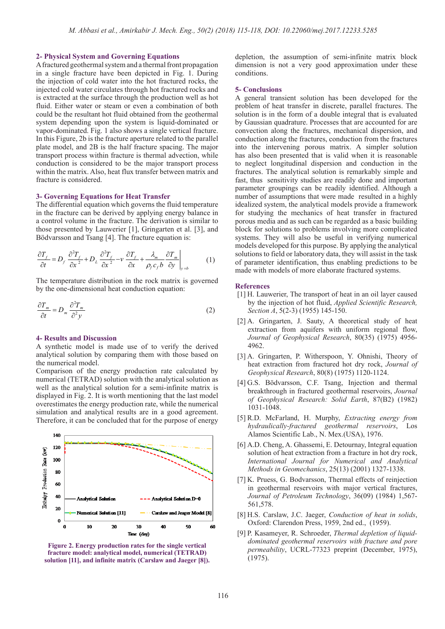### **2- Physical System and Governing Equations**

A fractured geothermal system and a thermal front propagation in a single fracture have been depicted in Fig. 1. During the injection of cold water into the hot fractured rocks, the injected cold water circulates through hot fractured rocks and is extracted at the surface through the production well as hot fluid. Either water or steam or even a combination of both could be the resultant hot fluid obtained from the geothermal system depending upon the system is liquid-dominated or vapor-dominated. Fig. 1 also shows a single vertical fracture. In this Figure, 2b is the fracture aperture related to the parallel plate model, and 2B is the half fracture spacing. The major transport process within fracture is thermal advection, while conduction is considered to be the major transport process within the matrix. Also, heat flux transfer between matrix and fracture is considered.

#### **3- Governing Equations for Heat Transfer**

The differential equation which governs the fluid temperature in the fracture can be derived by applying energy balance in a control volume in the fracture. The derivation is similar to those presented by Lauwerier [1], Gringarten et al. [3], and Bödvarsson and Tsang [4]. The fracture equation is:

$$
\frac{\partial T_f}{\partial t} = D_f \frac{\partial^2 T_f}{\partial x^2} + D_L \frac{\partial^2 T_f}{\partial x^2} - v \frac{\partial T_f}{\partial x} + \frac{\lambda_m}{\rho_f c_f b} \frac{\partial T_m}{\partial y} \bigg|_{y=b}
$$
(1)

by the one-dimensional heat conduction equation:<br> $\frac{1}{2}$ The temperature distribution in the rock matrix is governed *T b b y iy* = he temperature distribution in the rock mat

$$
\frac{\partial T_m}{\partial t} = D_m \frac{\partial^2 T_m}{\partial^2 y} \tag{2}
$$

### **4- Results and Discussion**

A synthetic model is made use of to verify the derived analytical solution by comparing them with those based on the numerical model.

Comparison of the energy production rate calculated by numerical (TETRAD) solution with the analytical solution as well as the analytical solution for a semi-infinite matrix is displayed in Fig. 2. It is worth mentioning that the last model overestimates the energy production rate, while the numerical simulation and analytical results are in a good agreement. Therefore, it can be concluded that for the purpose of energy



**Figure 2. Energy production rates for the single vertical fracture model: analytical model, numerical (TETRAD) solution [11], and infinite matrix (Carslaw and Jaeger [8]).**

depletion, the assumption of semi-infinite matrix block dimension is not a very good approximation under these conditions.

#### **5- Conclusions**

A general transient solution has been developed for the problem of heat transfer in discrete, parallel fractures. The solution is in the form of a double integral that is evaluated by Gaussian quadrature. Processes that are accounted for are convection along the fractures, mechanical dispersion, and conduction along the fractures, conduction from the fractures into the intervening porous matrix. A simpler solution has also been presented that is valid when it is reasonable to neglect longitudinal dispersion and conduction in the fractures. The analytical solution is remarkably simple and fast, thus sensitivity studies are readily done and important parameter groupings can be readily identified. Although a number of assumptions that were made resulted in a highly idealized system, the analytical models provide a framework for studying the mechanics of heat transfer in fractured porous media and as such can be regarded as a basic building block for solutions to problems involving more complicated systems. They will also be useful in verifying numerical models developed for this purpose. By applying the analytical solutions to field or laboratory data, they will assist in the task of parameter identification, thus enabling predictions to be made with models of more elaborate fractured systems.

#### **References**

- [1] H. Lauwerier, The transport of heat in an oil layer caused by the injection of hot fluid, *Applied Scientific Research, Section A*, 5(2-3) (1955) 145-150.
- [2] A. Gringarten, J. Sauty, A theoretical study of heat extraction from aquifers with uniform regional flow, *Journal of Geophysical Research*, 80(35) (1975) 4956- 4962.
- [3] A. Gringarten, P. Witherspoon, Y. Ohnishi, Theory of heat extraction from fractured hot dry rock, *Journal of Geophysical Research*, 80(8) (1975) 1120-1124.
- [4] G.S. Bödvarsson, C.F. Tsang, Injection and thermal breakthrough in fractured geothermal reservoirs, *Journal of Geophysical Research: Solid Earth*, 87(B2) (1982) 1031-1048.
- [5] R.D. McFarland, H. Murphy, *Extracting energy from hydraulically-fractured geothermal reservoirs*, Los Alamos Scientific Lab., N. Mex.(USA), 1976.
- [6] A.D. Cheng, A. Ghassemi, E. Detournay, Integral equation solution of heat extraction from a fracture in hot dry rock, *International Journal for Numerical and Analytical Methods in Geomechanics*, 25(13) (2001) 1327-1338.
- [7] K. Pruess, G. Bodvarsson, Thermal effects of reinjection in geothermal reservoirs with major vertical fractures, *Journal of Petroleum Technology*, 36(09) (1984) 1,567- 561,578.
- [8] H.S. Carslaw, J.C. Jaeger, *Conduction of heat in solids*, Oxford: Clarendon Press, 1959, 2nd ed., (1959).
- [9] P. Kasameyer, R. Schroeder, *Thermal depletion of liquiddominated geothermal reservoirs with fracture and pore permeability*, UCRL-77323 preprint (December, 1975), (1975).